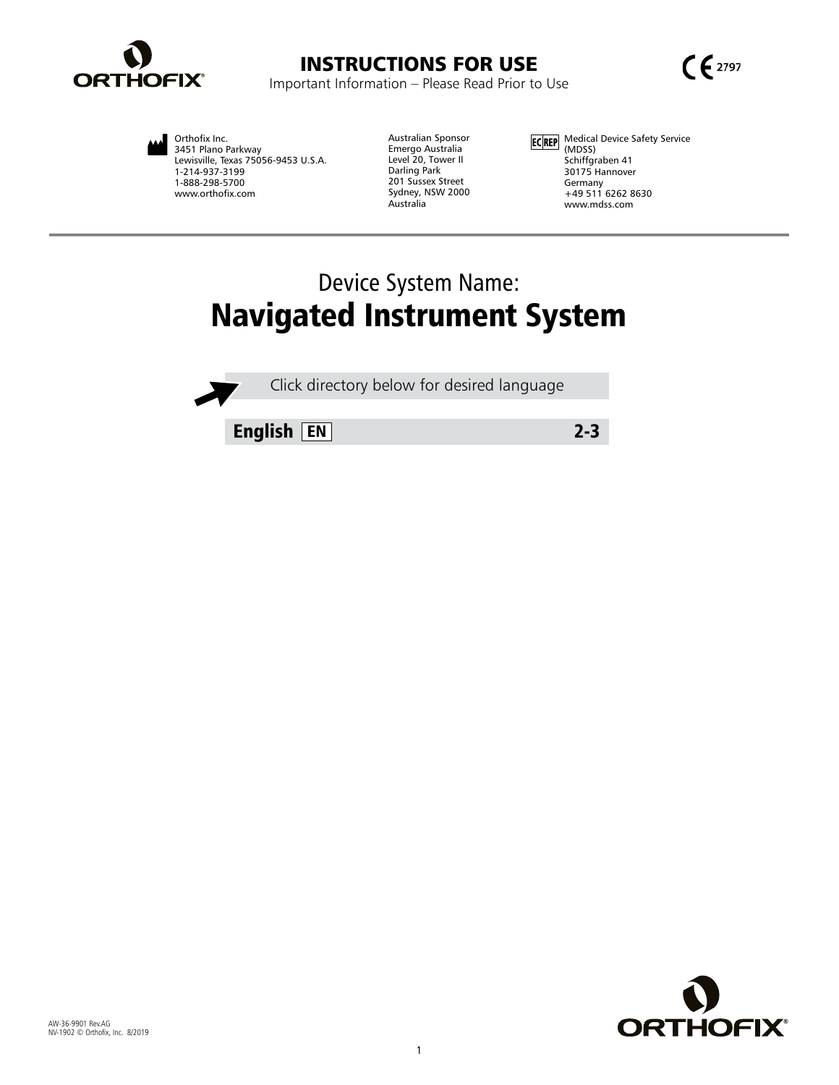



Orthofix Inc. 3451 Plano Parkway Lewisville, Texas 75056-9453 U.S.A. 1-214-937-3199 1-888-298-5700 www.orthofix.com

Australian Sponsor Emergo Australia Level 20, Tower II Darling Park 201 Sussex Street Sydney, NSW 2000 Australia

Medical Device Safety Service (MDSS) Schiffgraben 41 30175 Hannover Germany +49 511 6262 8630 www.mdss.com

# Device System Name: Navigated Instrument System

Click directory below for desired language

English EN 2-3

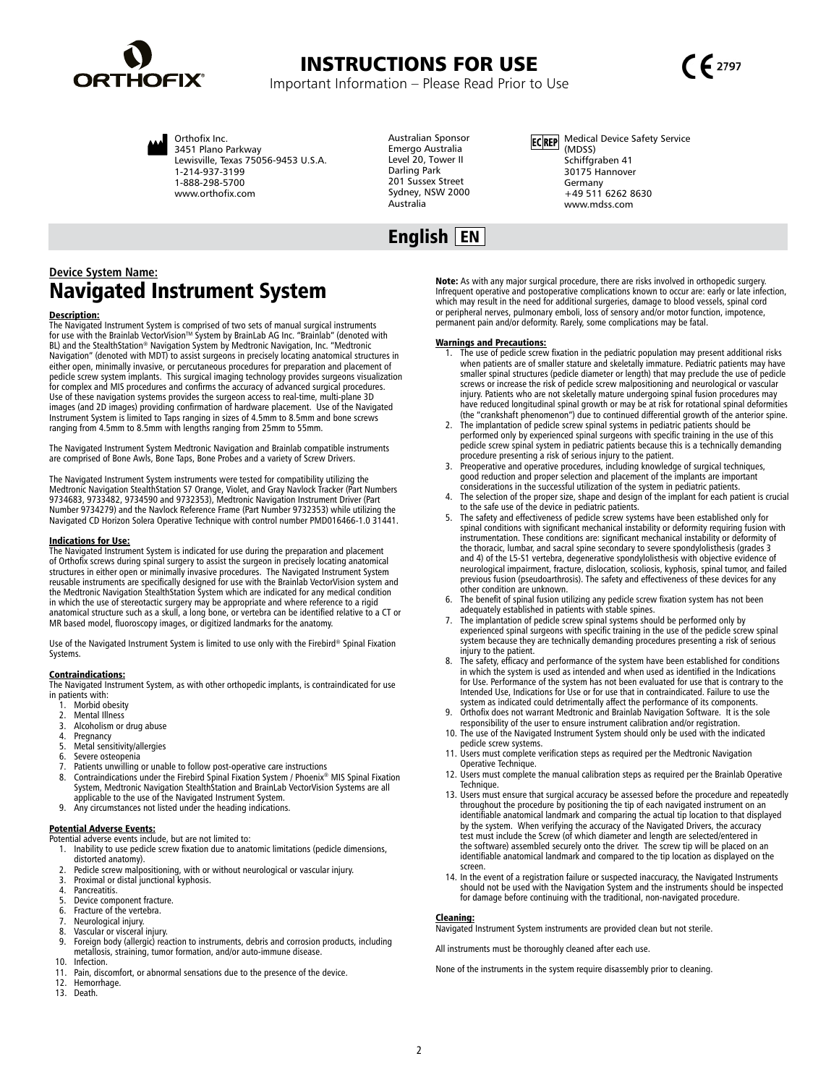





Orthofix Inc. 3451 Plano Parkway Lewisville, Texas 75056-9453 U.S.A. 1-214-937-3199 1-888-298-5700 www.orthofix.com

Australian Sponsor Emergo Australia Level 20, Tower II Darling Park 201 Sussex Street Sydney, NSW 2000 Australia

ECREP Medical Device Safety Service (MDSS) Schiffgraben 41 30175 Hannover Germany +49 511 6262 8630 www.mdss.com

## English EN

## **Device System Name:** Navigated Instrument System

#### Description:

The Navigated Instrument System is comprised of two sets of manual surgical instruments for use with the Brainlab VectorVision™ System by BrainLab AG Inc. "Brainlab" (denoted with BL) and the StealthStation® Navigation System by Medtronic Navigation, Inc. "Medtronic Navigation" (denoted with MDT) to assist surgeons in precisely locating anatomical structures in<br>either open, minimally invasive, or percutaneous procedures for preparation and placement of<br>pedicle screw system implants. T Use of these navigation systems provides the surgeon access to real-time, multi-plane 3D images (and 2D images) providing confirmation of hardware placement. Use of the Navigated Instrument System is limited to Taps ranging in sizes of 4.5mm to 8.5mm and bone screws ranging from 4.5mm to 8.5mm with lengths ranging from 25mm to 55mm.

The Navigated Instrument System Medtronic Navigation and Brainlab compatible instruments are comprised of Bone Awls, Bone Taps, Bone Probes and a variety of Screw Drivers.

The Navigated Instrument System instruments were tested for compatibility utilizing the<br>Medtronic Navigation StealthStation S7 Orange, Violet, and Gray Navlock Tracker (Part Numbers<br>9734683, 9733482, 9734590 and 9732353), Number 9734279) and the Navlock Reference Frame (Part Number 9732353) while utilizing the Navigated CD Horizon Solera Operative Technique with control number PMD016466-1.0 31441.

#### Indications for Use:

The Navigated Instrument System is indicated for use during the preparation and placement of Orthofix screws during spinal surgery to assist the surgeon in precisely locating anatomical structures in either open or minimally invasive procedures. The Navigated Instrument System reusable instruments are specifically designed for use with the Brainlab VectorVision system and the Medtronic Navigation StealthStation System which are indicated for any medical condition in which the use of stereotactic surgery may be appropriate and where reference to a rigid anatomical structure such as a skull, a long bone, or vertebra can be identified relative to a CT or MR based model, fluoroscopy images, or digitized landmarks for the anatomy.

Use of the Navigated Instrument System is limited to use only with the Firebird® Spinal Fixation Systems.

#### Contraindications:

The Navigated Instrument System, as with other orthopedic implants, is contraindicated for use in patients with:

- 1. Morbid obesity<br>2. Mental Illness
- 2. Mental Illness<br>3. Alcoholism or
- 3. Alcoholism or drug abuse<br>4. Pregnancy
- Pregnancy
- 5. Metal sensitivity/allergies 6. Severe osteopenia
- 7. Patients unwilling or unable to follow post-operative care instructions<br>8. Contraindications under the Firebird Spinal Fixation System / Phoenix®
- 8. Contraindications under the Firebird Spinal Fixation System / Phoenix® MIS Spinal Fixation System, Medtronic Navigation StealthStation and BrainLab VectorVision Systems are all applicable to the use of the Navigated Instrument System.
- 9. Any circumstances not listed under the heading indications.

**Potential Adverse Events:**<br>Potential adverse events include, but are not limited to:

- 1. Inability to use pedicle screw fixation due to anatomic limitations (pedicle dimensions, distorted anatomy).
- 2. Pedicle screw malpositioning, with or without neurological or vascular injury. 3. Proximal or distal junctional kyphosis.
- 
- 4. Pancreatitis.<br>5. Device comp
- 5. Device component fracture.<br>6. Fracture of the vertebra.
- 6. Fracture of the vertebra.<br>7. Neurological injury.
- 7. Neurological injury. Vascular or visceral injury.
- 9. Foreign body (allergic) reaction to instruments, debris and corrosion products, including metallosis, straining, tumor formation, and/or auto-immune disease.
- 10. Infection.<br>11. Pain, disc Pain, discomfort, or abnormal sensations due to the presence of the device.
- 12. Hemorrhage.
- 13. Death.

Note: As with any major surgical procedure, there are risks involved in orthopedic surgery. Infrequent operative and postoperative complications known to occur are: early or late infection, which may result in the need for additional surgeries, damage to blood vessels, spinal cord<br>or peripheral nerves, pulmonary emboli, loss of sensory and/or motor function, impotence,<br>permanent pain and/or deformity. Rarely,

#### Warnings and Precautions:

- 1. The use of pedicle screw fixation in the pediatric population may present additional risks when patients are of smaller stature and skeletally immature. Pediatric patients may have<br>smaller spinal structures (pedicle diameter or length) that may preclude the use of pedicle<br>screws or increase the risk of pedicle s injury. Patients who are not skeletally mature undergoing spinal fusion procedures may have reduced longitudinal spinal growth or may be at risk for rotational spinal deformities (the "crankshaft phenomenon") due to continued differential growth of the anterior spine.
- 2. The implantation of pedicle screw spinal systems in pediatric patients should be<br>performed only by experienced spinal surgeons with specific training in the use of this<br>pedicle screw spinal system in pediatric patients procedure presenting a risk of serious injury to the patient.
- Preoperative and operative procedures, including knowledge of surgical techniques, good reduction and proper selection and placement of the implants are important considerations in the successful utilization of the system in pediatric patients.
- 4. The selection of the proper size, shape and design of the implant for each patient is crucial to the safe use of the device in pediatric patients.
- The safety and effectiveness of pedicle screw systems have been established only for spinal conditions with significant mechanical instability or deformity requiring fusion with instrumentation. These conditions are: significant mechanical instability or deformity of the thoracic, lumbar, and sacral spine secondary to severe spondylolisthesis (grades 3 and 4) of the L5-S1 vertebra, degenerative spondylolisthesis with objective evidence of neurological impairment, fracture, dislocation, scoliosis, kyphosis, spinal tumor, and failed previous fusion (pseudoarthrosis). The safety and effectiveness of these devices for any other condition are unknown.
- The benefit of spinal fusion utilizing any pedicle screw fixation system has not been adequately established in patients with stable spines.
- 7. The implantation of pedicle screw spinal systems should be performed only by experienced spinal surgeons with specific training in the use of the pedicle screw spinal system because they are technically demanding procedures presenting a risk of serious injury to the patient.
- The safety, efficacy and performance of the system have been established for conditions in which the system is used as intended and when used as identified in the Indications for Use. Performance of the system has not been evaluated for use that is contrary to the Intended Use, Indications for Use or for use that in contraindicated. Failure to use the system as indicated could detrimentally affect the performance of its components.
- Orthofix does not warrant Medtronic and Brainlab Navigation Software. It is the sole responsibility of the user to ensure instrument calibration and/or registration.
- 10. The use of the Navigated Instrument System should only be used with the indicated pedicle screw systems.
- 11. Users must complete verification steps as required per the Medtronic Navigation Operative Technique.
- 12. Users must complete the manual calibration steps as required per the Brainlab Operative Technique.
- 13. Users must ensure that surgical accuracy be assessed before the procedure and repeatedly throughout the procedure by positioning the tip of each navigated instrument on an identifiable anatomical landmark and comparing the actual tip location to that displayed<br>by the system. When verifying the accuracy of the Navigated Drivers, the accuracy<br>test must include the Screw (of which diameter and the software) assembled securely onto the driver. The screw tip will be placed on an identifiable anatomical landmark and compared to the tip location as displayed on the screen.
- 14. In the event of a registration failure or suspected inaccuracy, the Navigated Instruments should not be used with the Navigation System and the instruments should be inspected for damage before continuing with the traditional, non-navigated procedure.

#### Cleaning:

Navigated Instrument System instruments are provided clean but not sterile.

All instruments must be thoroughly cleaned after each use.

None of the instruments in the system require disassembly prior to cleaning.